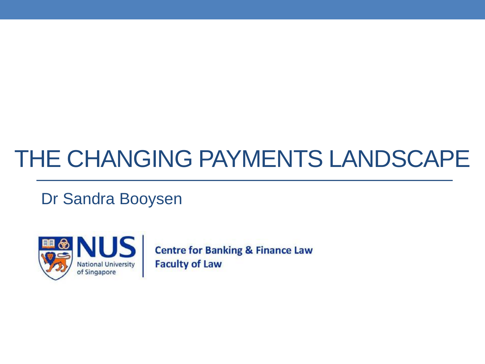#### THE CHANGING PAYMENTS LANDSCAPE

Dr Sandra Booysen



**Centre for Banking & Finance Law Faculty of Law**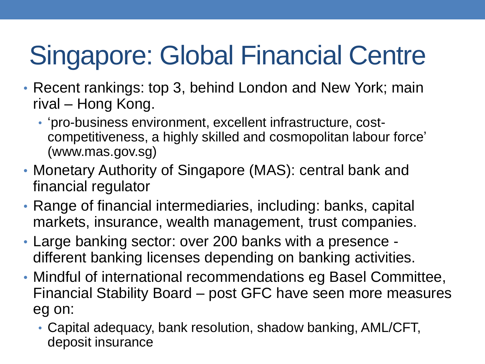# Singapore: Global Financial Centre

- Recent rankings: top 3, behind London and New York; main rival – Hong Kong.
	- 'pro-business environment, excellent infrastructure, costcompetitiveness, a highly skilled and cosmopolitan labour force' (www.mas.gov.sg)
- Monetary Authority of Singapore (MAS): central bank and financial regulator
- Range of financial intermediaries, including: banks, capital markets, insurance, wealth management, trust companies.
- Large banking sector: over 200 banks with a presence different banking licenses depending on banking activities.
- Mindful of international recommendations eg Basel Committee, Financial Stability Board – post GFC have seen more measures eg on:
	- Capital adequacy, bank resolution, shadow banking, AML/CFT, deposit insurance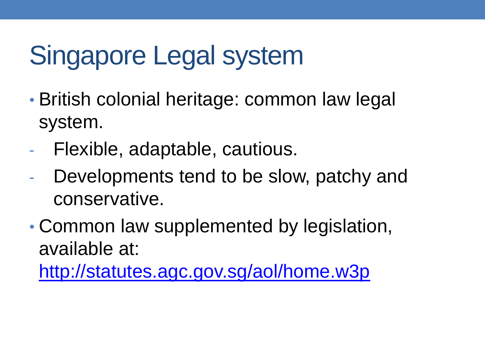## Singapore Legal system

- British colonial heritage: common law legal system.
- Flexible, adaptable, cautious.
- Developments tend to be slow, patchy and conservative.
- Common law supplemented by legislation, available at:

<http://statutes.agc.gov.sg/aol/home.w3p>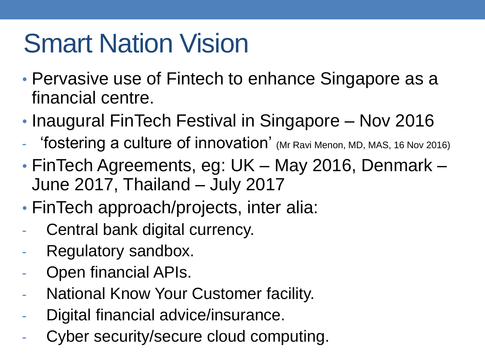#### Smart Nation Vision

- Pervasive use of Fintech to enhance Singapore as a financial centre.
- Inaugural FinTech Festival in Singapore Nov 2016
- 'fostering a culture of innovation' (Mr Ravi Menon, MD, MAS, 16 Nov 2016)
- FinTech Agreements, eg: UK May 2016, Denmark June 2017, Thailand – July 2017
- FinTech approach/projects, inter alia:
- Central bank digital currency.
- Regulatory sandbox.
- Open financial APIs.
- **National Know Your Customer facility.**
- Digital financial advice/insurance.
- Cyber security/secure cloud computing.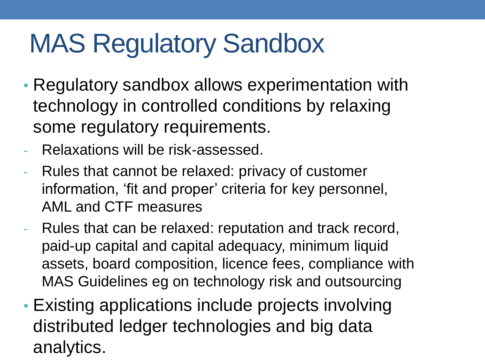### MAS Regulatory Sandbox

- Regulatory sandbox allows experimentation with technology in controlled conditions by relaxing some regulatory requirements.
- Relaxations will be risk-assessed.
- Rules that cannot be relaxed: privacy of customer information, 'fit and proper' criteria for key personnel, AML and CTF measures
- Rules that can be relaxed: reputation and track record, paid-up capital and capital adequacy, minimum liquid assets, board composition, licence fees, compliance with MAS Guidelines eg on technology risk and outsourcing
- Existing applications include projects involving distributed ledger technologies and big data analytics.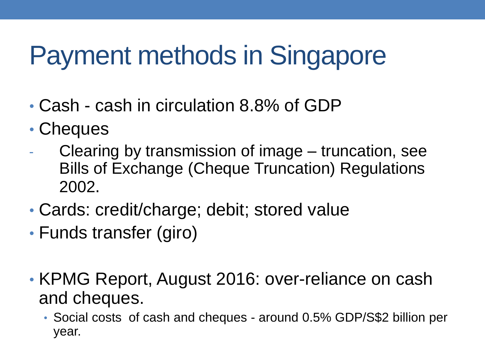### Payment methods in Singapore

- Cash cash in circulation 8.8% of GDP
- Cheques
- Clearing by transmission of image truncation, see Bills of Exchange (Cheque Truncation) Regulations 2002.
- Cards: credit/charge; debit; stored value
- Funds transfer (giro)
- KPMG Report, August 2016: over-reliance on cash and cheques.
	- Social costs of cash and cheques around 0.5% GDP/S\$2 billion per year.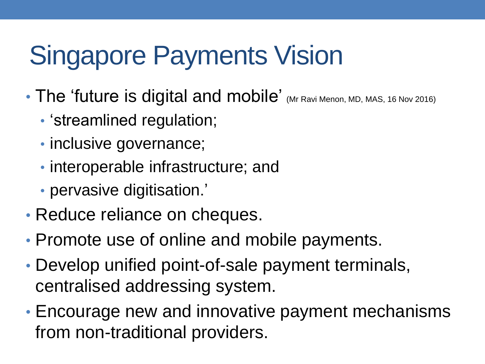## Singapore Payments Vision

- The 'future is digital and mobile' (Mr Ravi Menon, MD, MAS, 16 Nov 2016)
	- 'streamlined regulation;
	- inclusive governance;
	- interoperable infrastructure; and
	- pervasive digitisation.'
- Reduce reliance on cheques.
- Promote use of online and mobile payments.
- Develop unified point-of-sale payment terminals, centralised addressing system.
- Encourage new and innovative payment mechanisms from non-traditional providers.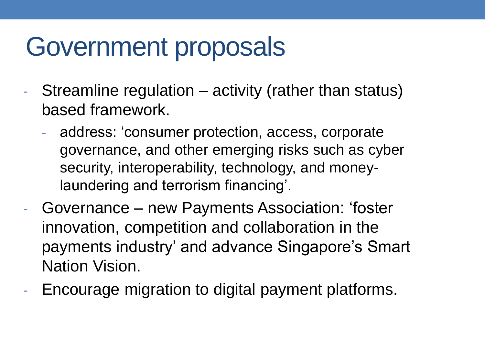#### Government proposals

- Streamline regulation activity (rather than status) based framework.
	- address: 'consumer protection, access, corporate governance, and other emerging risks such as cyber security, interoperability, technology, and moneylaundering and terrorism financing'.
- Governance new Payments Association: 'foster innovation, competition and collaboration in the payments industry' and advance Singapore's Smart Nation Vision.
- Encourage migration to digital payment platforms.